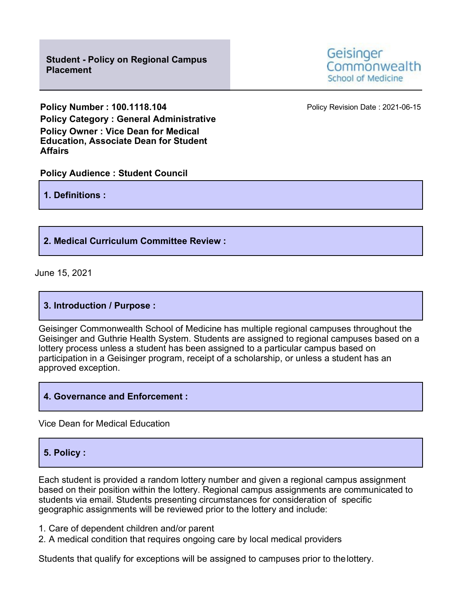**Policy Number: 100.1118.104 Policy Revision Date: 2021-06-15 Policy Category : General Administrative Policy Owner : Vice Dean for Medical Education, Associate Dean for Student Affairs**

## **Policy Audience : Student Council**

**1. Definitions :**

# **2. Medical Curriculum Committee Review :**

June 15, 2021

### **3. Introduction / Purpose :**

Geisinger Commonwealth School of Medicine has multiple regional campuses throughout the Geisinger and Guthrie Health System. Students are assigned to regional campuses based on a lottery process unless a student has been assigned to a particular campus based on participation in a Geisinger program, receipt of a scholarship, or unless a student has an approved exception.

### **4. Governance and Enforcement :**

Vice Dean for Medical Education

# **5. Policy :**

Each student is provided a random lottery number and given a regional campus assignment based on their position within the lottery. Regional campus assignments are communicated to students via email. Students presenting circumstances for consideration of specific geographic assignments will be reviewed prior to the lottery and include:

- 1. Care of dependent children and/or parent
- 2. A medical condition that requires ongoing care by local medical providers

Students that qualify for exceptions will be assigned to campuses prior to thelottery.